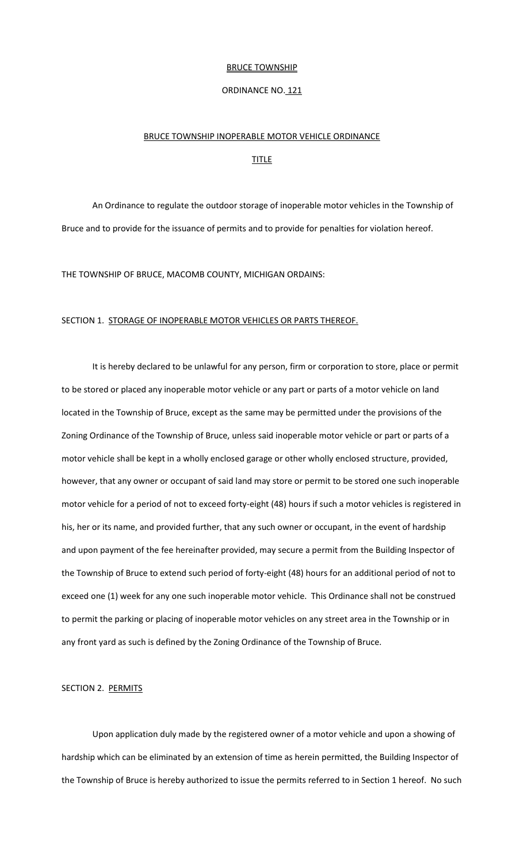#### **BRUCE TOWNSHIP**

#### ORDINANCE NO. 121

#### BRUCE TOWNSHIP INOPERABLE MOTOR VEHICLE ORDINANCE

#### **TITLE**

An Ordinance to regulate the outdoor storage of inoperable motor vehicles in the Township of Bruce and to provide for the issuance of permits and to provide for penalties for violation hereof.

THE TOWNSHIP OF BRUCE, MACOMB COUNTY, MICHIGAN ORDAINS:

#### SECTION 1. STORAGE OF INOPERABLE MOTOR VEHICLES OR PARTS THEREOF.

It is hereby declared to be unlawful for any person, firm or corporation to store, place or permit to be stored or placed any inoperable motor vehicle or any part or parts of a motor vehicle on land located in the Township of Bruce, except as the same may be permitted under the provisions of the Zoning Ordinance of the Township of Bruce, unless said inoperable motor vehicle or part or parts of a motor vehicle shall be kept in a wholly enclosed garage or other wholly enclosed structure, provided, however, that any owner or occupant of said land may store or permit to be stored one such inoperable motor vehicle for a period of not to exceed forty-eight (48) hours if such a motor vehicles is registered in his, her or its name, and provided further, that any such owner or occupant, in the event of hardship and upon payment of the fee hereinafter provided, may secure a permit from the Building Inspector of the Township of Bruce to extend such period of forty-eight (48) hours for an additional period of not to exceed one (1) week for any one such inoperable motor vehicle. This Ordinance shall not be construed to permit the parking or placing of inoperable motor vehicles on any street area in the Township or in any front yard as such is defined by the Zoning Ordinance of the Township of Bruce.

#### SECTION 2. PERMITS

Upon application duly made by the registered owner of a motor vehicle and upon a showing of hardship which can be eliminated by an extension of time as herein permitted, the Building Inspector of the Township of Bruce is hereby authorized to issue the permits referred to in Section 1 hereof. No such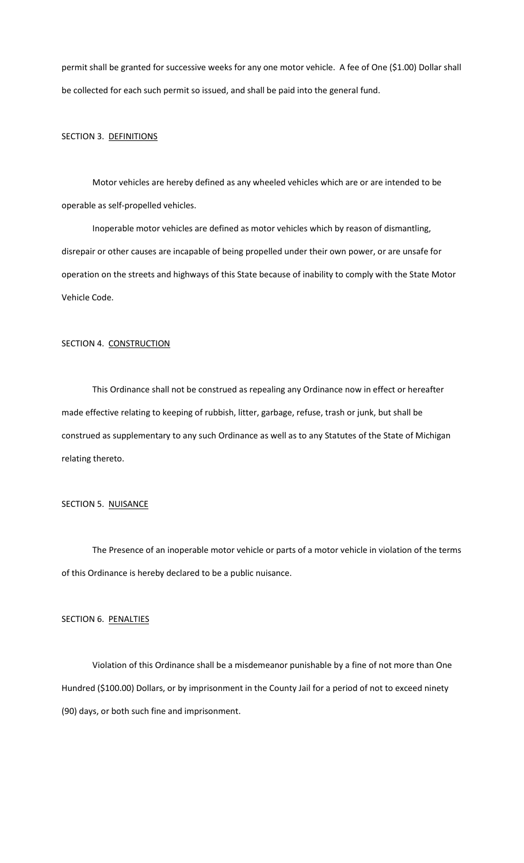permit shall be granted for successive weeks for any one motor vehicle. A fee of One (\$1.00) Dollar shall be collected for each such permit so issued, and shall be paid into the general fund.

#### SECTION 3. DEFINITIONS

Motor vehicles are hereby defined as any wheeled vehicles which are or are intended to be operable as self-propelled vehicles.

Inoperable motor vehicles are defined as motor vehicles which by reason of dismantling, disrepair or other causes are incapable of being propelled under their own power, or are unsafe for operation on the streets and highways of this State because of inability to comply with the State Motor Vehicle Code.

### SECTION 4. CONSTRUCTION

This Ordinance shall not be construed as repealing any Ordinance now in effect or hereafter made effective relating to keeping of rubbish, litter, garbage, refuse, trash or junk, but shall be construed as supplementary to any such Ordinance as well as to any Statutes of the State of Michigan relating thereto.

### SECTION 5. NUISANCE

The Presence of an inoperable motor vehicle or parts of a motor vehicle in violation of the terms of this Ordinance is hereby declared to be a public nuisance.

### SECTION 6. PENALTIES

Violation of this Ordinance shall be a misdemeanor punishable by a fine of not more than One Hundred (\$100.00) Dollars, or by imprisonment in the County Jail for a period of not to exceed ninety (90) days, or both such fine and imprisonment.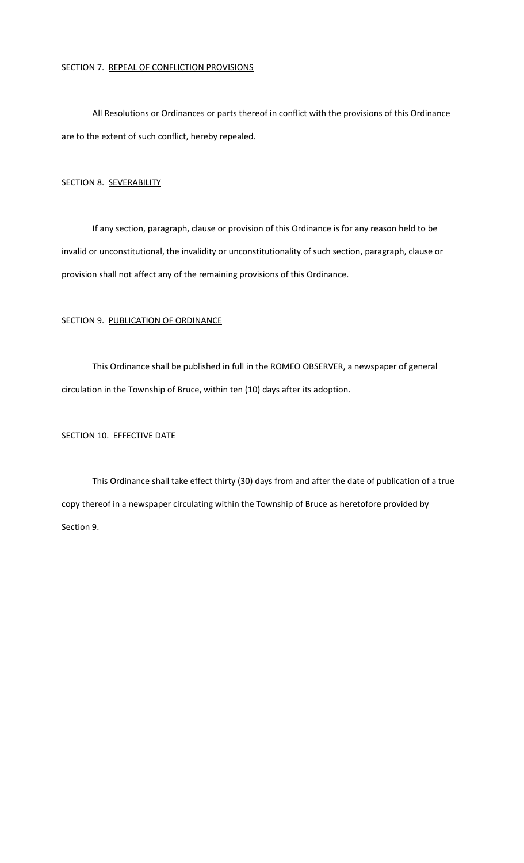### SECTION 7. REPEAL OF CONFLICTION PROVISIONS

All Resolutions or Ordinances or parts thereof in conflict with the provisions of this Ordinance are to the extent of such conflict, hereby repealed.

### SECTION 8. SEVERABILITY

If any section, paragraph, clause or provision of this Ordinance is for any reason held to be invalid or unconstitutional, the invalidity or unconstitutionality of such section, paragraph, clause or provision shall not affect any of the remaining provisions of this Ordinance.

### SECTION 9. PUBLICATION OF ORDINANCE

This Ordinance shall be published in full in the ROMEO OBSERVER, a newspaper of general circulation in the Township of Bruce, within ten (10) days after its adoption.

## SECTION 10. EFFECTIVE DATE

This Ordinance shall take effect thirty (30) days from and after the date of publication of a true copy thereof in a newspaper circulating within the Township of Bruce as heretofore provided by Section 9.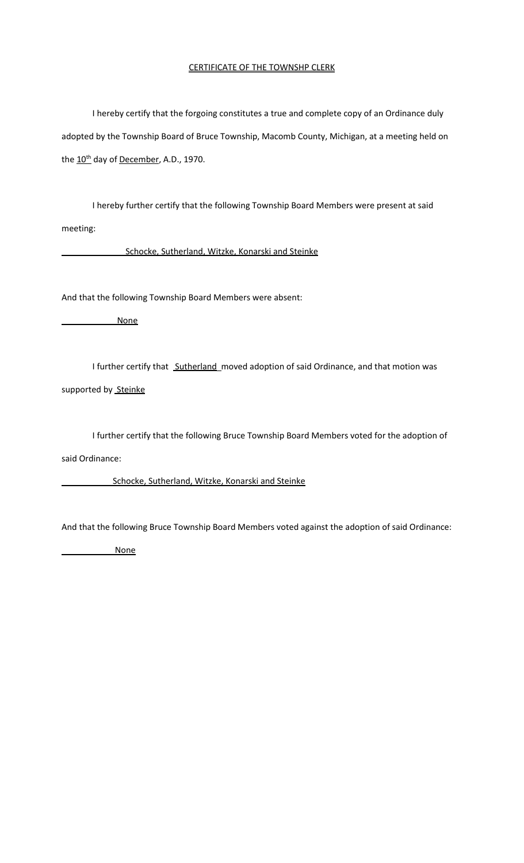## CERTIFICATE OF THE TOWNSHP CLERK

I hereby certify that the forgoing constitutes a true and complete copy of an Ordinance duly adopted by the Township Board of Bruce Township, Macomb County, Michigan, at a meeting held on the  $10^{th}$  day of December, A.D., 1970.

I hereby further certify that the following Township Board Members were present at said meeting:

Schocke, Sutherland, Witzke, Konarski and Steinke

And that the following Township Board Members were absent:

None

I further certify that Sutherland moved adoption of said Ordinance, and that motion was

supported by Steinke

I further certify that the following Bruce Township Board Members voted for the adoption of

said Ordinance:

Schocke, Sutherland, Witzke, Konarski and Steinke

And that the following Bruce Township Board Members voted against the adoption of said Ordinance:

None